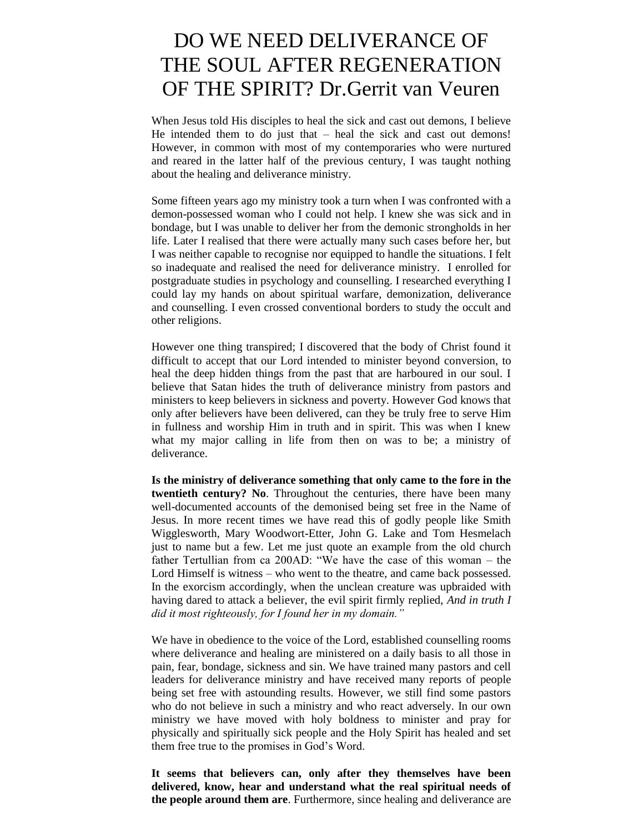# DO WE NEED DELIVERANCE OF THE SOUL AFTER REGENERATION OF THE SPIRIT? Dr.Gerrit van Veuren

When Jesus told His disciples to heal the sick and cast out demons, I believe He intended them to do just that – heal the sick and cast out demons! However, in common with most of my contemporaries who were nurtured and reared in the latter half of the previous century, I was taught nothing about the healing and deliverance ministry.

Some fifteen years ago my ministry took a turn when I was confronted with a demon-possessed woman who I could not help. I knew she was sick and in bondage, but I was unable to deliver her from the demonic strongholds in her life. Later I realised that there were actually many such cases before her, but I was neither capable to recognise nor equipped to handle the situations. I felt so inadequate and realised the need for deliverance ministry. I enrolled for postgraduate studies in psychology and counselling. I researched everything I could lay my hands on about spiritual warfare, demonization, deliverance and counselling. I even crossed conventional borders to study the occult and other religions.

However one thing transpired; I discovered that the body of Christ found it difficult to accept that our Lord intended to minister beyond conversion, to heal the deep hidden things from the past that are harboured in our soul. I believe that Satan hides the truth of deliverance ministry from pastors and ministers to keep believers in sickness and poverty. However God knows that only after believers have been delivered, can they be truly free to serve Him in fullness and worship Him in truth and in spirit. This was when I knew what my major calling in life from then on was to be; a ministry of deliverance.

**Is the ministry of deliverance something that only came to the fore in the twentieth century? No**. Throughout the centuries, there have been many well-documented accounts of the demonised being set free in the Name of Jesus. In more recent times we have read this of godly people like Smith Wigglesworth, Mary Woodwort-Etter, John G. Lake and Tom Hesmelach just to name but a few. Let me just quote an example from the old church father Tertullian from ca 200AD: "We have the case of this woman – the Lord Himself is witness – who went to the theatre, and came back possessed. In the exorcism accordingly, when the unclean creature was upbraided with having dared to attack a believer, the evil spirit firmly replied, *And in truth I did it most righteously, for I found her in my domain."*

We have in obedience to the voice of the Lord, established counselling rooms where deliverance and healing are ministered on a daily basis to all those in pain, fear, bondage, sickness and sin. We have trained many pastors and cell leaders for deliverance ministry and have received many reports of people being set free with astounding results. However, we still find some pastors who do not believe in such a ministry and who react adversely. In our own ministry we have moved with holy boldness to minister and pray for physically and spiritually sick people and the Holy Spirit has healed and set them free true to the promises in God's Word.

**It seems that believers can, only after they themselves have been delivered, know, hear and understand what the real spiritual needs of the people around them are**. Furthermore, since healing and deliverance are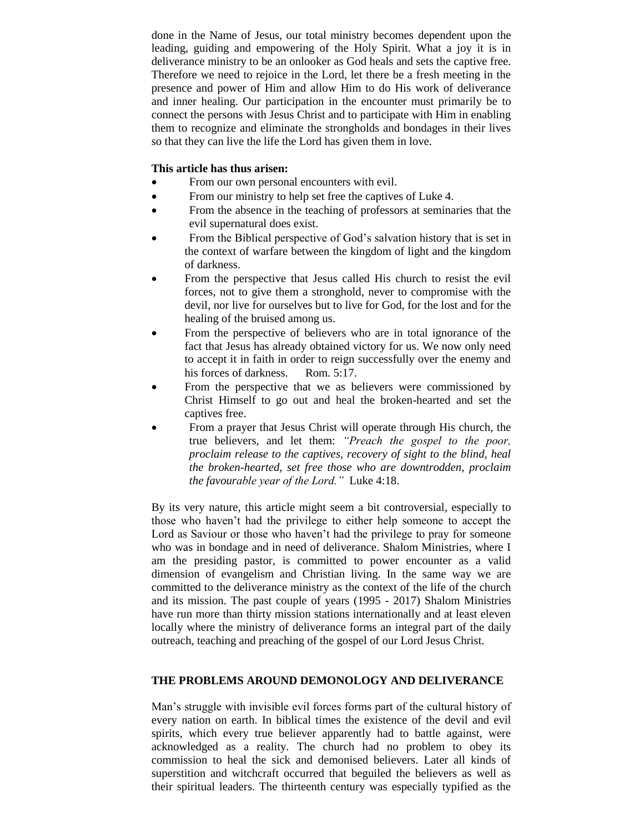done in the Name of Jesus, our total ministry becomes dependent upon the leading, guiding and empowering of the Holy Spirit. What a joy it is in deliverance ministry to be an onlooker as God heals and sets the captive free. Therefore we need to rejoice in the Lord, let there be a fresh meeting in the presence and power of Him and allow Him to do His work of deliverance and inner healing. Our participation in the encounter must primarily be to connect the persons with Jesus Christ and to participate with Him in enabling them to recognize and eliminate the strongholds and bondages in their lives so that they can live the life the Lord has given them in love.

## **This article has thus arisen:**

- From our own personal encounters with evil.
- From our ministry to help set free the captives of Luke 4.
- From the absence in the teaching of professors at seminaries that the evil supernatural does exist.
- From the Biblical perspective of God's salvation history that is set in the context of warfare between the kingdom of light and the kingdom of darkness.
- From the perspective that Jesus called His church to resist the evil forces, not to give them a stronghold, never to compromise with the devil, nor live for ourselves but to live for God, for the lost and for the healing of the bruised among us.
- From the perspective of believers who are in total ignorance of the fact that Jesus has already obtained victory for us. We now only need to accept it in faith in order to reign successfully over the enemy and his forces of darkness. Rom. 5:17.
- From the perspective that we as believers were commissioned by Christ Himself to go out and heal the broken-hearted and set the captives free.
- From a prayer that Jesus Christ will operate through His church, the true believers, and let them: *"Preach the gospel to the poor, proclaim release to the captives, recovery of sight to the blind, heal the broken-hearted, set free those who are downtrodden, proclaim the favourable year of the Lord."* Luke 4:18.

By its very nature, this article might seem a bit controversial, especially to those who haven't had the privilege to either help someone to accept the Lord as Saviour or those who haven't had the privilege to pray for someone who was in bondage and in need of deliverance. Shalom Ministries, where I am the presiding pastor, is committed to power encounter as a valid dimension of evangelism and Christian living. In the same way we are committed to the deliverance ministry as the context of the life of the church and its mission. The past couple of years (1995 - 2017) Shalom Ministries have run more than thirty mission stations internationally and at least eleven locally where the ministry of deliverance forms an integral part of the daily outreach, teaching and preaching of the gospel of our Lord Jesus Christ.

## **THE PROBLEMS AROUND DEMONOLOGY AND DELIVERANCE**

Man's struggle with invisible evil forces forms part of the cultural history of every nation on earth. In biblical times the existence of the devil and evil spirits, which every true believer apparently had to battle against, were acknowledged as a reality. The church had no problem to obey its commission to heal the sick and demonised believers. Later all kinds of superstition and witchcraft occurred that beguiled the believers as well as their spiritual leaders. The thirteenth century was especially typified as the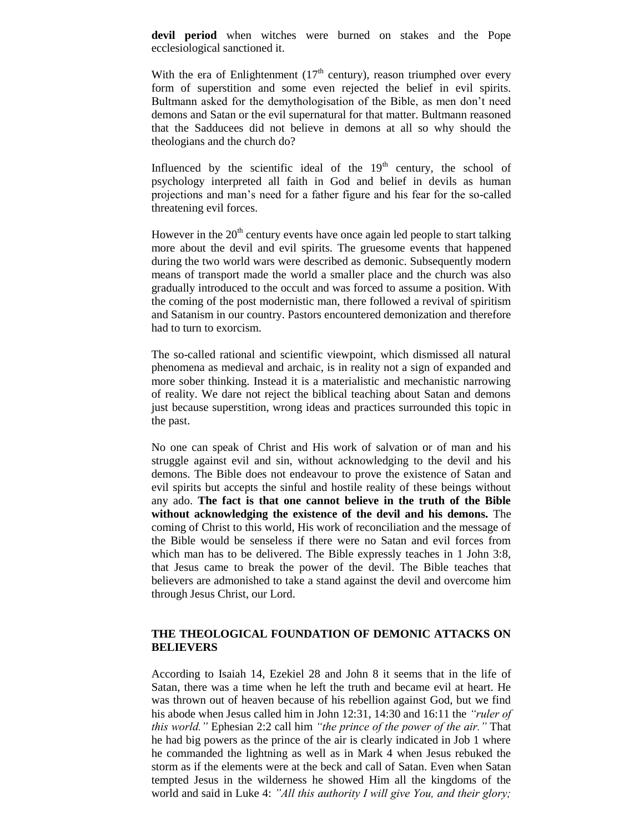**devil period** when witches were burned on stakes and the Pope ecclesiological sanctioned it.

With the era of Enlightenment  $(17<sup>th</sup>$  century), reason triumphed over every form of superstition and some even rejected the belief in evil spirits. Bultmann asked for the demythologisation of the Bible, as men don't need demons and Satan or the evil supernatural for that matter. Bultmann reasoned that the Sadducees did not believe in demons at all so why should the theologians and the church do?

Influenced by the scientific ideal of the  $19<sup>th</sup>$  century, the school of psychology interpreted all faith in God and belief in devils as human projections and man's need for a father figure and his fear for the so-called threatening evil forces.

However in the  $20<sup>th</sup>$  century events have once again led people to start talking more about the devil and evil spirits. The gruesome events that happened during the two world wars were described as demonic. Subsequently modern means of transport made the world a smaller place and the church was also gradually introduced to the occult and was forced to assume a position. With the coming of the post modernistic man, there followed a revival of spiritism and Satanism in our country. Pastors encountered demonization and therefore had to turn to exorcism.

The so-called rational and scientific viewpoint, which dismissed all natural phenomena as medieval and archaic, is in reality not a sign of expanded and more sober thinking. Instead it is a materialistic and mechanistic narrowing of reality. We dare not reject the biblical teaching about Satan and demons just because superstition, wrong ideas and practices surrounded this topic in the past.

No one can speak of Christ and His work of salvation or of man and his struggle against evil and sin, without acknowledging to the devil and his demons. The Bible does not endeavour to prove the existence of Satan and evil spirits but accepts the sinful and hostile reality of these beings without any ado. **The fact is that one cannot believe in the truth of the Bible without acknowledging the existence of the devil and his demons.** The coming of Christ to this world, His work of reconciliation and the message of the Bible would be senseless if there were no Satan and evil forces from which man has to be delivered. The Bible expressly teaches in 1 John 3:8, that Jesus came to break the power of the devil. The Bible teaches that believers are admonished to take a stand against the devil and overcome him through Jesus Christ, our Lord.

## **THE THEOLOGICAL FOUNDATION OF DEMONIC ATTACKS ON BELIEVERS**

According to Isaiah 14, Ezekiel 28 and John 8 it seems that in the life of Satan, there was a time when he left the truth and became evil at heart. He was thrown out of heaven because of his rebellion against God, but we find his abode when Jesus called him in John 12:31, 14:30 and 16:11 the *"ruler of this world."* Ephesian 2:2 call him *"the prince of the power of the air."* That he had big powers as the prince of the air is clearly indicated in Job 1 where he commanded the lightning as well as in Mark 4 when Jesus rebuked the storm as if the elements were at the beck and call of Satan. Even when Satan tempted Jesus in the wilderness he showed Him all the kingdoms of the world and said in Luke 4: *"All this authority I will give You, and their glory;*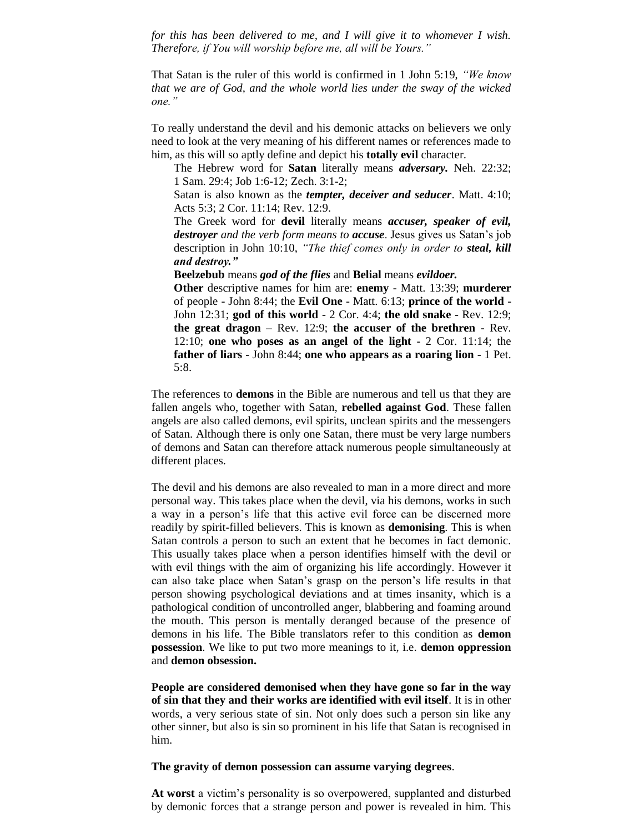*for this has been delivered to me, and I will give it to whomever I wish. Therefore, if You will worship before me, all will be Yours."* 

That Satan is the ruler of this world is confirmed in 1 John 5:19, *"We know that we are of God, and the whole world lies under the sway of the wicked one."*

To really understand the devil and his demonic attacks on believers we only need to look at the very meaning of his different names or references made to him, as this will so aptly define and depict his **totally evil** character.

The Hebrew word for **Satan** literally means *adversary.* Neh. 22:32; 1 Sam. 29:4; Job 1:6-12; Zech. 3:1-2;

Satan is also known as the *tempter, deceiver and seducer*. Matt. 4:10; Acts 5:3; 2 Cor. 11:14; Rev. 12:9.

The Greek word for **devil** literally means *accuser, speaker of evil, destroyer and the verb form means to accuse*. Jesus gives us Satan's job description in John 10:10, *"The thief comes only in order to steal, kill and destroy."*

**Beelzebub** means *god of the flies* and **Belial** means *evildoer.*

**Other** descriptive names for him are: **enemy** - Matt. 13:39; **murderer** of people - John 8:44; the **Evil One** - Matt. 6:13; **prince of the world** - John 12:31; **god of this world** - 2 Cor. 4:4; **the old snake** - Rev. 12:9; **the great dragon** – Rev. 12:9; **the accuser of the brethren** - Rev. 12:10; **one who poses as an angel of the light** - 2 Cor. 11:14; the **father of liars** - John 8:44; **one who appears as a roaring lion** - 1 Pet. 5:8.

The references to **demons** in the Bible are numerous and tell us that they are fallen angels who, together with Satan, **rebelled against God**. These fallen angels are also called demons, evil spirits, unclean spirits and the messengers of Satan. Although there is only one Satan, there must be very large numbers of demons and Satan can therefore attack numerous people simultaneously at different places.

The devil and his demons are also revealed to man in a more direct and more personal way. This takes place when the devil, via his demons, works in such a way in a person's life that this active evil force can be discerned more readily by spirit-filled believers. This is known as **demonising**. This is when Satan controls a person to such an extent that he becomes in fact demonic. This usually takes place when a person identifies himself with the devil or with evil things with the aim of organizing his life accordingly. However it can also take place when Satan's grasp on the person's life results in that person showing psychological deviations and at times insanity, which is a pathological condition of uncontrolled anger, blabbering and foaming around the mouth. This person is mentally deranged because of the presence of demons in his life. The Bible translators refer to this condition as **demon possession**. We like to put two more meanings to it, i.e. **demon oppression** and **demon obsession.**

**People are considered demonised when they have gone so far in the way of sin that they and their works are identified with evil itself**. It is in other words, a very serious state of sin. Not only does such a person sin like any other sinner, but also is sin so prominent in his life that Satan is recognised in him.

#### **The gravity of demon possession can assume varying degrees**.

**At worst** a victim's personality is so overpowered, supplanted and disturbed by demonic forces that a strange person and power is revealed in him. This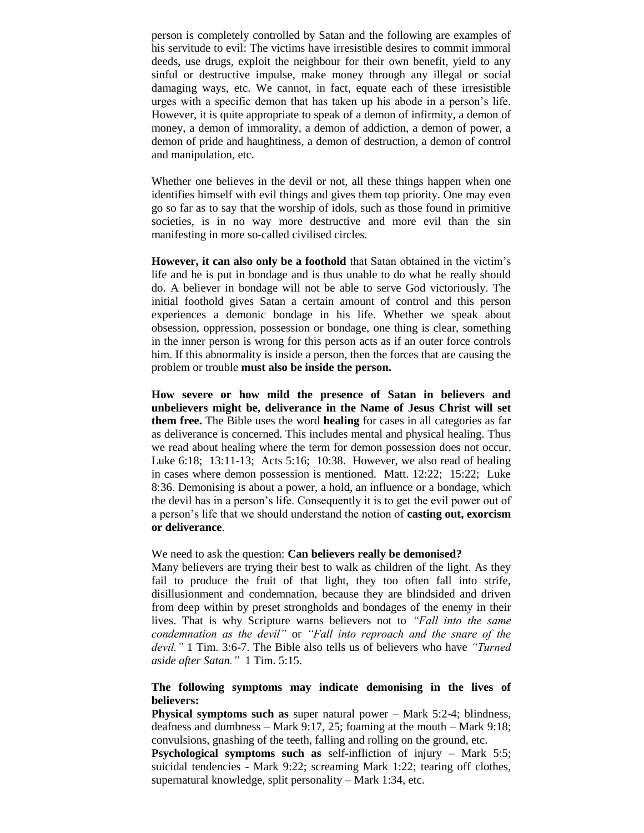person is completely controlled by Satan and the following are examples of his servitude to evil: The victims have irresistible desires to commit immoral deeds, use drugs, exploit the neighbour for their own benefit, yield to any sinful or destructive impulse, make money through any illegal or social damaging ways, etc. We cannot, in fact, equate each of these irresistible urges with a specific demon that has taken up his abode in a person's life. However, it is quite appropriate to speak of a demon of infirmity, a demon of money, a demon of immorality, a demon of addiction, a demon of power, a demon of pride and haughtiness, a demon of destruction, a demon of control and manipulation, etc.

Whether one believes in the devil or not, all these things happen when one identifies himself with evil things and gives them top priority. One may even go so far as to say that the worship of idols, such as those found in primitive societies, is in no way more destructive and more evil than the sin manifesting in more so-called civilised circles.

**However, it can also only be a foothold** that Satan obtained in the victim's life and he is put in bondage and is thus unable to do what he really should do. A believer in bondage will not be able to serve God victoriously. The initial foothold gives Satan a certain amount of control and this person experiences a demonic bondage in his life. Whether we speak about obsession, oppression, possession or bondage, one thing is clear, something in the inner person is wrong for this person acts as if an outer force controls him. If this abnormality is inside a person, then the forces that are causing the problem or trouble **must also be inside the person.**

**How severe or how mild the presence of Satan in believers and unbelievers might be, deliverance in the Name of Jesus Christ will set them free.** The Bible uses the word **healing** for cases in all categories as far as deliverance is concerned. This includes mental and physical healing. Thus we read about healing where the term for demon possession does not occur. Luke 6:18; 13:11-13; Acts 5:16; 10:38. However, we also read of healing in cases where demon possession is mentioned. Matt. 12:22; 15:22; Luke 8:36. Demonising is about a power, a hold, an influence or a bondage, which the devil has in a person's life. Consequently it is to get the evil power out of a person's life that we should understand the notion of **casting out, exorcism or deliverance**.

We need to ask the question: **Can believers really be demonised?**

Many believers are trying their best to walk as children of the light. As they fail to produce the fruit of that light, they too often fall into strife, disillusionment and condemnation, because they are blindsided and driven from deep within by preset strongholds and bondages of the enemy in their lives. That is why Scripture warns believers not to *"Fall into the same condemnation as the devil"* or *"Fall into reproach and the snare of the devil."* 1 Tim. 3:6-7. The Bible also tells us of believers who have *"Turned aside after Satan."* 1 Tim. 5:15.

## **The following symptoms may indicate demonising in the lives of believers:**

**Physical symptoms such as** super natural power – Mark 5:2-4; blindness, deafness and dumbness – Mark 9:17, 25; foaming at the mouth – Mark 9:18; convulsions, gnashing of the teeth, falling and rolling on the ground, etc.

**Psychological symptoms such as** self-infliction of injury – Mark 5:5; suicidal tendencies - Mark 9:22; screaming Mark 1:22; tearing off clothes, supernatural knowledge, split personality – Mark 1:34, etc.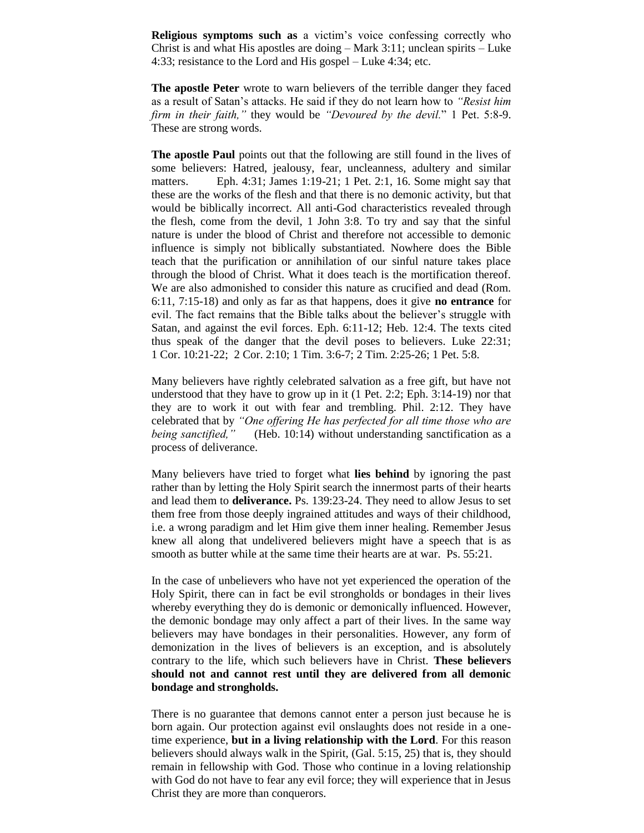**Religious symptoms such as** a victim's voice confessing correctly who Christ is and what His apostles are doing – Mark 3:11; unclean spirits – Luke 4:33; resistance to the Lord and His gospel – Luke 4:34; etc.

**The apostle Peter** wrote to warn believers of the terrible danger they faced as a result of Satan's attacks. He said if they do not learn how to *"Resist him firm in their faith,"* they would be *"Devoured by the devil.*" 1 Pet. 5:8-9. These are strong words.

**The apostle Paul** points out that the following are still found in the lives of some believers: Hatred, jealousy, fear, uncleanness, adultery and similar matters. Eph. 4:31; James 1:19-21; 1 Pet. 2:1, 16. Some might say that these are the works of the flesh and that there is no demonic activity, but that would be biblically incorrect. All anti-God characteristics revealed through the flesh, come from the devil, 1 John 3:8. To try and say that the sinful nature is under the blood of Christ and therefore not accessible to demonic influence is simply not biblically substantiated. Nowhere does the Bible teach that the purification or annihilation of our sinful nature takes place through the blood of Christ. What it does teach is the mortification thereof. We are also admonished to consider this nature as crucified and dead (Rom. 6:11, 7:15-18) and only as far as that happens, does it give **no entrance** for evil. The fact remains that the Bible talks about the believer's struggle with Satan, and against the evil forces. Eph. 6:11-12; Heb. 12:4. The texts cited thus speak of the danger that the devil poses to believers. Luke 22:31; 1 Cor. 10:21-22; 2 Cor. 2:10; 1 Tim. 3:6-7; 2 Tim. 2:25-26; 1 Pet. 5:8.

Many believers have rightly celebrated salvation as a free gift, but have not understood that they have to grow up in it (1 Pet. 2:2; Eph. 3:14-19) nor that they are to work it out with fear and trembling. Phil. 2:12. They have celebrated that by *"One offering He has perfected for all time those who are being sanctified,"* (Heb. 10:14) without understanding sanctification as a process of deliverance.

Many believers have tried to forget what **lies behind** by ignoring the past rather than by letting the Holy Spirit search the innermost parts of their hearts and lead them to **deliverance.** Ps. 139:23-24. They need to allow Jesus to set them free from those deeply ingrained attitudes and ways of their childhood, i.e. a wrong paradigm and let Him give them inner healing. Remember Jesus knew all along that undelivered believers might have a speech that is as smooth as butter while at the same time their hearts are at war. Ps. 55:21.

In the case of unbelievers who have not yet experienced the operation of the Holy Spirit, there can in fact be evil strongholds or bondages in their lives whereby everything they do is demonic or demonically influenced. However, the demonic bondage may only affect a part of their lives. In the same way believers may have bondages in their personalities. However, any form of demonization in the lives of believers is an exception, and is absolutely contrary to the life, which such believers have in Christ. **These believers should not and cannot rest until they are delivered from all demonic bondage and strongholds.**

There is no guarantee that demons cannot enter a person just because he is born again. Our protection against evil onslaughts does not reside in a onetime experience, **but in a living relationship with the Lord**. For this reason believers should always walk in the Spirit, (Gal. 5:15, 25) that is, they should remain in fellowship with God. Those who continue in a loving relationship with God do not have to fear any evil force; they will experience that in Jesus Christ they are more than conquerors.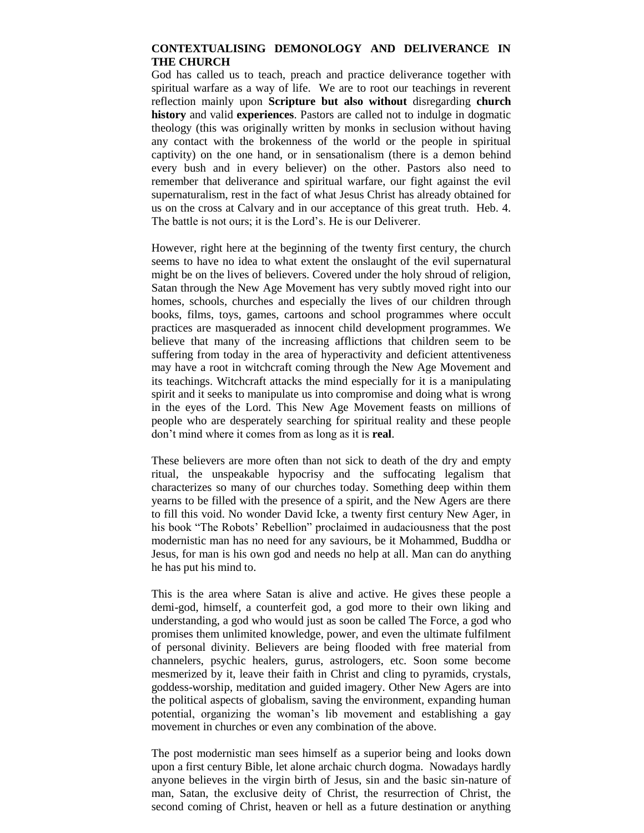## **CONTEXTUALISING DEMONOLOGY AND DELIVERANCE IN THE CHURCH**

God has called us to teach, preach and practice deliverance together with spiritual warfare as a way of life. We are to root our teachings in reverent reflection mainly upon **Scripture but also without** disregarding **church history** and valid **experiences**. Pastors are called not to indulge in dogmatic theology (this was originally written by monks in seclusion without having any contact with the brokenness of the world or the people in spiritual captivity) on the one hand, or in sensationalism (there is a demon behind every bush and in every believer) on the other. Pastors also need to remember that deliverance and spiritual warfare, our fight against the evil supernaturalism, rest in the fact of what Jesus Christ has already obtained for us on the cross at Calvary and in our acceptance of this great truth. Heb. 4. The battle is not ours; it is the Lord's. He is our Deliverer.

However, right here at the beginning of the twenty first century, the church seems to have no idea to what extent the onslaught of the evil supernatural might be on the lives of believers. Covered under the holy shroud of religion, Satan through the New Age Movement has very subtly moved right into our homes, schools, churches and especially the lives of our children through books, films, toys, games, cartoons and school programmes where occult practices are masqueraded as innocent child development programmes. We believe that many of the increasing afflictions that children seem to be suffering from today in the area of hyperactivity and deficient attentiveness may have a root in witchcraft coming through the New Age Movement and its teachings. Witchcraft attacks the mind especially for it is a manipulating spirit and it seeks to manipulate us into compromise and doing what is wrong in the eyes of the Lord. This New Age Movement feasts on millions of people who are desperately searching for spiritual reality and these people don't mind where it comes from as long as it is **real**.

These believers are more often than not sick to death of the dry and empty ritual, the unspeakable hypocrisy and the suffocating legalism that characterizes so many of our churches today. Something deep within them yearns to be filled with the presence of a spirit, and the New Agers are there to fill this void. No wonder David Icke, a twenty first century New Ager, in his book "The Robots' Rebellion" proclaimed in audaciousness that the post modernistic man has no need for any saviours, be it Mohammed, Buddha or Jesus, for man is his own god and needs no help at all. Man can do anything he has put his mind to.

This is the area where Satan is alive and active. He gives these people a demi-god, himself, a counterfeit god, a god more to their own liking and understanding, a god who would just as soon be called The Force, a god who promises them unlimited knowledge, power, and even the ultimate fulfilment of personal divinity. Believers are being flooded with free material from channelers, psychic healers, gurus, astrologers, etc. Soon some become mesmerized by it, leave their faith in Christ and cling to pyramids, crystals, goddess-worship, meditation and guided imagery. Other New Agers are into the political aspects of globalism, saving the environment, expanding human potential, organizing the woman's lib movement and establishing a gay movement in churches or even any combination of the above.

The post modernistic man sees himself as a superior being and looks down upon a first century Bible, let alone archaic church dogma. Nowadays hardly anyone believes in the virgin birth of Jesus, sin and the basic sin-nature of man, Satan, the exclusive deity of Christ, the resurrection of Christ, the second coming of Christ, heaven or hell as a future destination or anything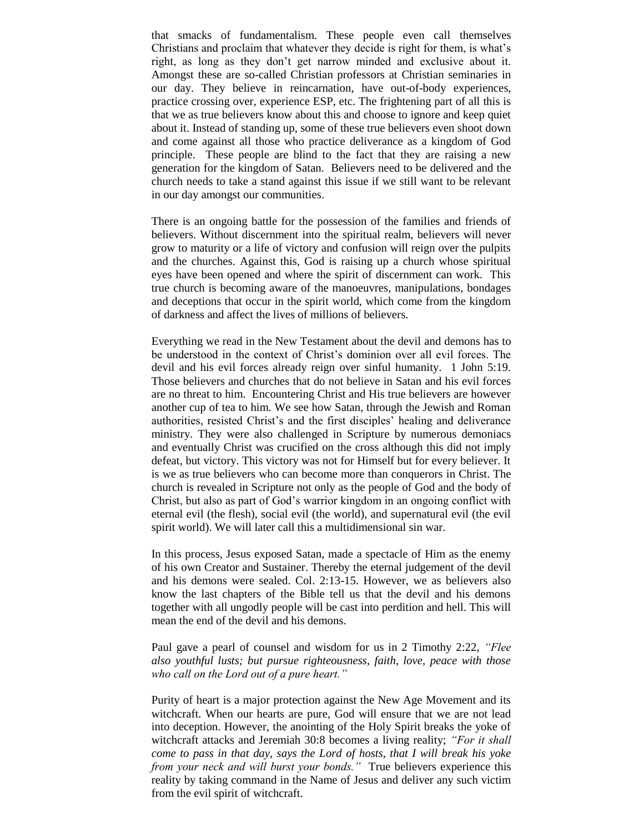that smacks of fundamentalism. These people even call themselves Christians and proclaim that whatever they decide is right for them, is what's right, as long as they don't get narrow minded and exclusive about it. Amongst these are so-called Christian professors at Christian seminaries in our day. They believe in reincarnation, have out-of-body experiences, practice crossing over, experience ESP, etc. The frightening part of all this is that we as true believers know about this and choose to ignore and keep quiet about it. Instead of standing up, some of these true believers even shoot down and come against all those who practice deliverance as a kingdom of God principle. These people are blind to the fact that they are raising a new generation for the kingdom of Satan. Believers need to be delivered and the church needs to take a stand against this issue if we still want to be relevant in our day amongst our communities.

There is an ongoing battle for the possession of the families and friends of believers. Without discernment into the spiritual realm, believers will never grow to maturity or a life of victory and confusion will reign over the pulpits and the churches. Against this, God is raising up a church whose spiritual eyes have been opened and where the spirit of discernment can work. This true church is becoming aware of the manoeuvres, manipulations, bondages and deceptions that occur in the spirit world, which come from the kingdom of darkness and affect the lives of millions of believers.

Everything we read in the New Testament about the devil and demons has to be understood in the context of Christ's dominion over all evil forces. The devil and his evil forces already reign over sinful humanity. 1 John 5:19. Those believers and churches that do not believe in Satan and his evil forces are no threat to him. Encountering Christ and His true believers are however another cup of tea to him. We see how Satan, through the Jewish and Roman authorities, resisted Christ's and the first disciples' healing and deliverance ministry. They were also challenged in Scripture by numerous demoniacs and eventually Christ was crucified on the cross although this did not imply defeat, but victory. This victory was not for Himself but for every believer. It is we as true believers who can become more than conquerors in Christ. The church is revealed in Scripture not only as the people of God and the body of Christ, but also as part of God's warrior kingdom in an ongoing conflict with eternal evil (the flesh), social evil (the world), and supernatural evil (the evil spirit world). We will later call this a multidimensional sin war.

In this process, Jesus exposed Satan, made a spectacle of Him as the enemy of his own Creator and Sustainer. Thereby the eternal judgement of the devil and his demons were sealed. Col. 2:13-15. However, we as believers also know the last chapters of the Bible tell us that the devil and his demons together with all ungodly people will be cast into perdition and hell. This will mean the end of the devil and his demons.

Paul gave a pearl of counsel and wisdom for us in 2 Timothy 2:22, *"Flee also youthful lusts; but pursue righteousness, faith, love, peace with those who call on the Lord out of a pure heart."* 

Purity of heart is a major protection against the New Age Movement and its witchcraft. When our hearts are pure, God will ensure that we are not lead into deception. However, the anointing of the Holy Spirit breaks the yoke of witchcraft attacks and Jeremiah 30:8 becomes a living reality; *"For it shall come to pass in that day, says the Lord of hosts, that I will break his yoke from your neck and will burst your bonds."* True believers experience this reality by taking command in the Name of Jesus and deliver any such victim from the evil spirit of witchcraft.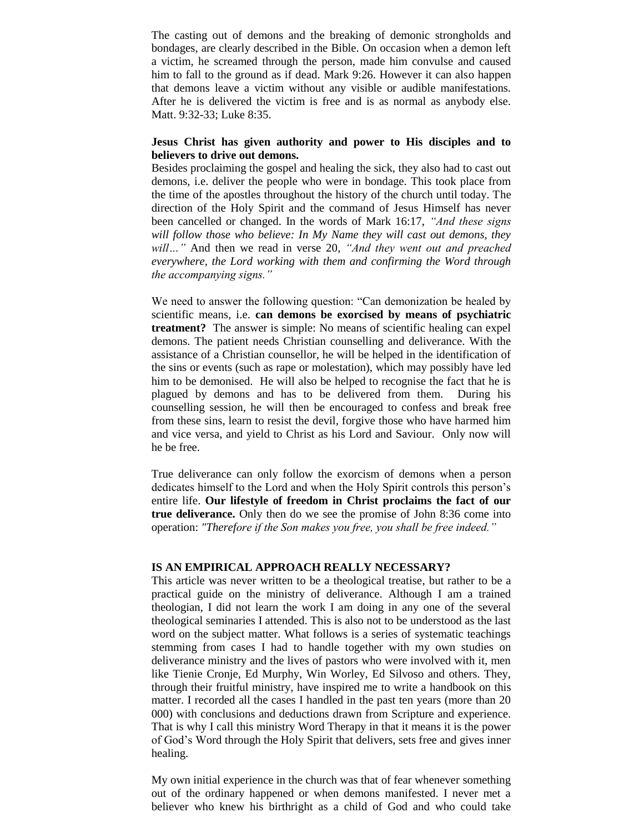The casting out of demons and the breaking of demonic strongholds and bondages, are clearly described in the Bible. On occasion when a demon left a victim, he screamed through the person, made him convulse and caused him to fall to the ground as if dead. Mark 9:26. However it can also happen that demons leave a victim without any visible or audible manifestations. After he is delivered the victim is free and is as normal as anybody else. Matt. 9:32-33; Luke 8:35.

#### **Jesus Christ has given authority and power to His disciples and to believers to drive out demons.**

Besides proclaiming the gospel and healing the sick, they also had to cast out demons, i.e. deliver the people who were in bondage. This took place from the time of the apostles throughout the history of the church until today. The direction of the Holy Spirit and the command of Jesus Himself has never been cancelled or changed. In the words of Mark 16:17, *"And these signs will follow those who believe: In My Name they will cast out demons, they will…"* And then we read in verse 20, *"And they went out and preached everywhere, the Lord working with them and confirming the Word through the accompanying signs."*

We need to answer the following question: "Can demonization be healed by scientific means, i.e. **can demons be exorcised by means of psychiatric treatment?** The answer is simple: No means of scientific healing can expel demons. The patient needs Christian counselling and deliverance. With the assistance of a Christian counsellor, he will be helped in the identification of the sins or events (such as rape or molestation), which may possibly have led him to be demonised. He will also be helped to recognise the fact that he is plagued by demons and has to be delivered from them. During his counselling session, he will then be encouraged to confess and break free from these sins, learn to resist the devil, forgive those who have harmed him and vice versa, and yield to Christ as his Lord and Saviour. Only now will he be free.

True deliverance can only follow the exorcism of demons when a person dedicates himself to the Lord and when the Holy Spirit controls this person's entire life. **Our lifestyle of freedom in Christ proclaims the fact of our true deliverance.** Only then do we see the promise of John 8:36 come into operation: *"Therefore if the Son makes you free, you shall be free indeed."*

#### **IS AN EMPIRICAL APPROACH REALLY NECESSARY?**

This article was never written to be a theological treatise, but rather to be a practical guide on the ministry of deliverance. Although I am a trained theologian, I did not learn the work I am doing in any one of the several theological seminaries I attended. This is also not to be understood as the last word on the subject matter. What follows is a series of systematic teachings stemming from cases I had to handle together with my own studies on deliverance ministry and the lives of pastors who were involved with it, men like Tienie Cronje, Ed Murphy, Win Worley, Ed Silvoso and others. They, through their fruitful ministry, have inspired me to write a handbook on this matter. I recorded all the cases I handled in the past ten years (more than 20 000) with conclusions and deductions drawn from Scripture and experience. That is why I call this ministry Word Therapy in that it means it is the power of God's Word through the Holy Spirit that delivers, sets free and gives inner healing.

My own initial experience in the church was that of fear whenever something out of the ordinary happened or when demons manifested. I never met a believer who knew his birthright as a child of God and who could take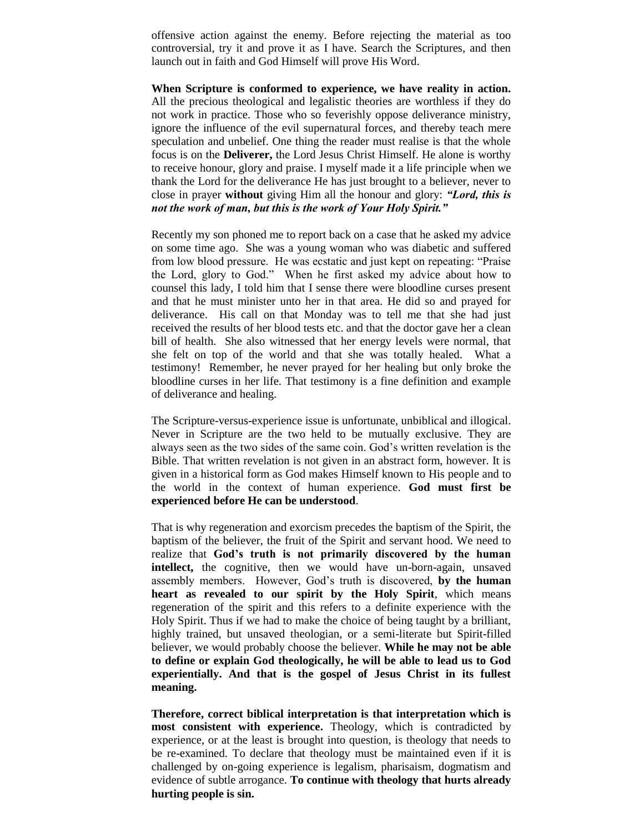offensive action against the enemy. Before rejecting the material as too controversial, try it and prove it as I have. Search the Scriptures, and then launch out in faith and God Himself will prove His Word.

**When Scripture is conformed to experience, we have reality in action.** All the precious theological and legalistic theories are worthless if they do not work in practice. Those who so feverishly oppose deliverance ministry, ignore the influence of the evil supernatural forces, and thereby teach mere speculation and unbelief. One thing the reader must realise is that the whole focus is on the **Deliverer,** the Lord Jesus Christ Himself. He alone is worthy to receive honour, glory and praise. I myself made it a life principle when we thank the Lord for the deliverance He has just brought to a believer, never to close in prayer **without** giving Him all the honour and glory: *"Lord, this is not the work of man, but this is the work of Your Holy Spirit."*

Recently my son phoned me to report back on a case that he asked my advice on some time ago. She was a young woman who was diabetic and suffered from low blood pressure. He was ecstatic and just kept on repeating: "Praise the Lord, glory to God." When he first asked my advice about how to counsel this lady, I told him that I sense there were bloodline curses present and that he must minister unto her in that area. He did so and prayed for deliverance. His call on that Monday was to tell me that she had just received the results of her blood tests etc. and that the doctor gave her a clean bill of health. She also witnessed that her energy levels were normal, that she felt on top of the world and that she was totally healed. What a testimony! Remember, he never prayed for her healing but only broke the bloodline curses in her life. That testimony is a fine definition and example of deliverance and healing.

The Scripture-versus-experience issue is unfortunate, unbiblical and illogical. Never in Scripture are the two held to be mutually exclusive. They are always seen as the two sides of the same coin. God's written revelation is the Bible. That written revelation is not given in an abstract form, however. It is given in a historical form as God makes Himself known to His people and to the world in the context of human experience. **God must first be experienced before He can be understood**.

That is why regeneration and exorcism precedes the baptism of the Spirit, the baptism of the believer, the fruit of the Spirit and servant hood. We need to realize that **God's truth is not primarily discovered by the human**  intellect, the cognitive, then we would have un-born-again, unsaved assembly members. However, God's truth is discovered, **by the human heart as revealed to our spirit by the Holy Spirit**, which means regeneration of the spirit and this refers to a definite experience with the Holy Spirit. Thus if we had to make the choice of being taught by a brilliant, highly trained, but unsaved theologian, or a semi-literate but Spirit-filled believer, we would probably choose the believer. **While he may not be able to define or explain God theologically, he will be able to lead us to God experientially. And that is the gospel of Jesus Christ in its fullest meaning.**

**Therefore, correct biblical interpretation is that interpretation which is most consistent with experience.** Theology, which is contradicted by experience, or at the least is brought into question, is theology that needs to be re-examined. To declare that theology must be maintained even if it is challenged by on-going experience is legalism, pharisaism, dogmatism and evidence of subtle arrogance. **To continue with theology that hurts already hurting people is sin.**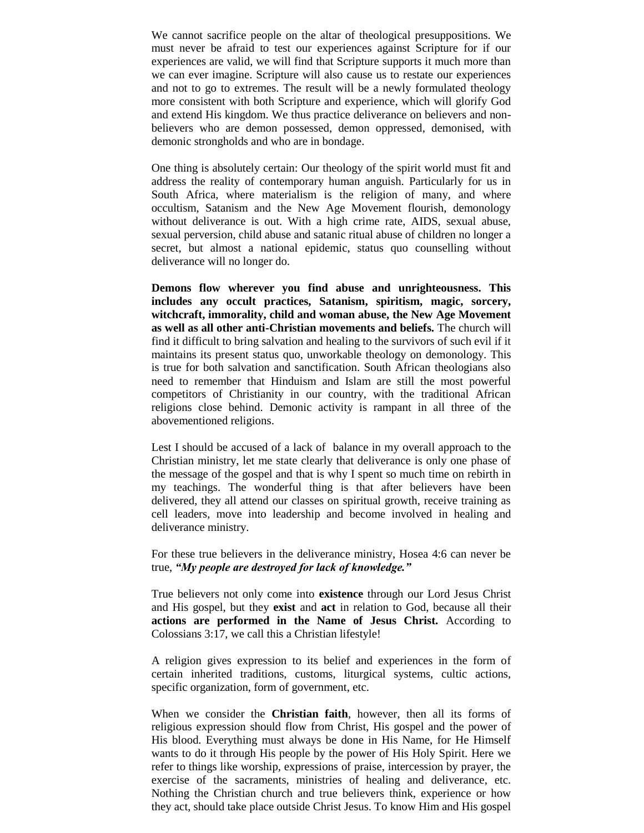We cannot sacrifice people on the altar of theological presuppositions. We must never be afraid to test our experiences against Scripture for if our experiences are valid, we will find that Scripture supports it much more than we can ever imagine. Scripture will also cause us to restate our experiences and not to go to extremes. The result will be a newly formulated theology more consistent with both Scripture and experience, which will glorify God and extend His kingdom. We thus practice deliverance on believers and nonbelievers who are demon possessed, demon oppressed, demonised, with demonic strongholds and who are in bondage.

One thing is absolutely certain: Our theology of the spirit world must fit and address the reality of contemporary human anguish. Particularly for us in South Africa, where materialism is the religion of many, and where occultism, Satanism and the New Age Movement flourish, demonology without deliverance is out. With a high crime rate, AIDS, sexual abuse, sexual perversion, child abuse and satanic ritual abuse of children no longer a secret, but almost a national epidemic, status quo counselling without deliverance will no longer do.

**Demons flow wherever you find abuse and unrighteousness. This includes any occult practices, Satanism, spiritism, magic, sorcery, witchcraft, immorality, child and woman abuse, the New Age Movement as well as all other anti-Christian movements and beliefs.** The church will find it difficult to bring salvation and healing to the survivors of such evil if it maintains its present status quo, unworkable theology on demonology. This is true for both salvation and sanctification. South African theologians also need to remember that Hinduism and Islam are still the most powerful competitors of Christianity in our country, with the traditional African religions close behind. Demonic activity is rampant in all three of the abovementioned religions.

Lest I should be accused of a lack of balance in my overall approach to the Christian ministry, let me state clearly that deliverance is only one phase of the message of the gospel and that is why I spent so much time on rebirth in my teachings. The wonderful thing is that after believers have been delivered, they all attend our classes on spiritual growth, receive training as cell leaders, move into leadership and become involved in healing and deliverance ministry.

For these true believers in the deliverance ministry, Hosea 4:6 can never be true, *"My people are destroyed for lack of knowledge."*

True believers not only come into **existence** through our Lord Jesus Christ and His gospel, but they **exist** and **act** in relation to God, because all their **actions are performed in the Name of Jesus Christ.** According to Colossians 3:17, we call this a Christian lifestyle!

A religion gives expression to its belief and experiences in the form of certain inherited traditions, customs, liturgical systems, cultic actions, specific organization, form of government, etc.

When we consider the **Christian faith**, however, then all its forms of religious expression should flow from Christ, His gospel and the power of His blood. Everything must always be done in His Name, for He Himself wants to do it through His people by the power of His Holy Spirit. Here we refer to things like worship, expressions of praise, intercession by prayer, the exercise of the sacraments, ministries of healing and deliverance, etc. Nothing the Christian church and true believers think, experience or how they act, should take place outside Christ Jesus. To know Him and His gospel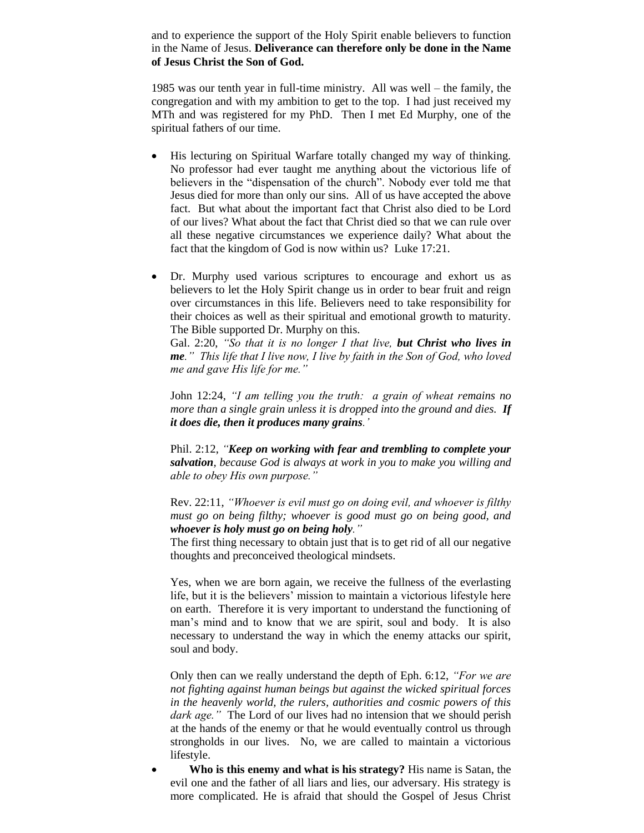and to experience the support of the Holy Spirit enable believers to function in the Name of Jesus. **Deliverance can therefore only be done in the Name of Jesus Christ the Son of God.** 

1985 was our tenth year in full-time ministry. All was well – the family, the congregation and with my ambition to get to the top. I had just received my MTh and was registered for my PhD. Then I met Ed Murphy, one of the spiritual fathers of our time.

- His lecturing on Spiritual Warfare totally changed my way of thinking. No professor had ever taught me anything about the victorious life of believers in the "dispensation of the church". Nobody ever told me that Jesus died for more than only our sins. All of us have accepted the above fact. But what about the important fact that Christ also died to be Lord of our lives? What about the fact that Christ died so that we can rule over all these negative circumstances we experience daily? What about the fact that the kingdom of God is now within us? Luke 17:21.
- Dr. Murphy used various scriptures to encourage and exhort us as believers to let the Holy Spirit change us in order to bear fruit and reign over circumstances in this life. Believers need to take responsibility for their choices as well as their spiritual and emotional growth to maturity. The Bible supported Dr. Murphy on this.

Gal. 2:20, *"So that it is no longer I that live, but Christ who lives in me." This life that I live now, I live by faith in the Son of God, who loved me and gave His life for me."*

John 12:24, *"I am telling you the truth: a grain of wheat remains no more than a single grain unless it is dropped into the ground and dies. If it does die, then it produces many grains.'*

Phil. 2:12, *"Keep on working with fear and trembling to complete your salvation, because God is always at work in you to make you willing and able to obey His own purpose."*

Rev. 22:11, *"Whoever is evil must go on doing evil, and whoever is filthy must go on being filthy; whoever is good must go on being good, and whoever is holy must go on being holy."*

The first thing necessary to obtain just that is to get rid of all our negative thoughts and preconceived theological mindsets.

Yes, when we are born again, we receive the fullness of the everlasting life, but it is the believers' mission to maintain a victorious lifestyle here on earth. Therefore it is very important to understand the functioning of man's mind and to know that we are spirit, soul and body. It is also necessary to understand the way in which the enemy attacks our spirit, soul and body.

Only then can we really understand the depth of Eph. 6:12, *"For we are not fighting against human beings but against the wicked spiritual forces in the heavenly world, the rulers, authorities and cosmic powers of this dark age."* The Lord of our lives had no intension that we should perish at the hands of the enemy or that he would eventually control us through strongholds in our lives. No, we are called to maintain a victorious lifestyle.

 **Who is this enemy and what is his strategy?** His name is Satan, the evil one and the father of all liars and lies, our adversary. His strategy is more complicated. He is afraid that should the Gospel of Jesus Christ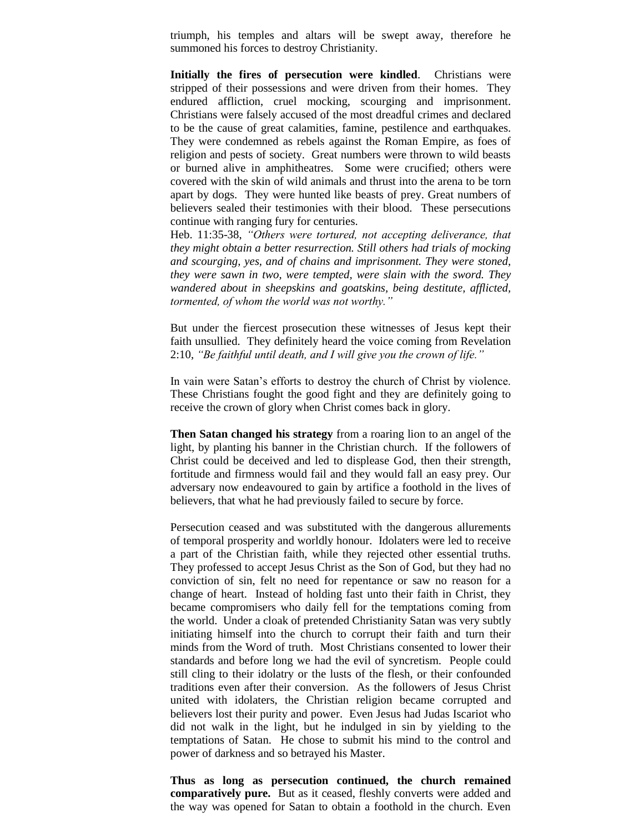triumph, his temples and altars will be swept away, therefore he summoned his forces to destroy Christianity.

**Initially the fires of persecution were kindled**. Christians were stripped of their possessions and were driven from their homes. They endured affliction, cruel mocking, scourging and imprisonment. Christians were falsely accused of the most dreadful crimes and declared to be the cause of great calamities, famine, pestilence and earthquakes. They were condemned as rebels against the Roman Empire, as foes of religion and pests of society. Great numbers were thrown to wild beasts or burned alive in amphitheatres. Some were crucified; others were covered with the skin of wild animals and thrust into the arena to be torn apart by dogs. They were hunted like beasts of prey. Great numbers of believers sealed their testimonies with their blood. These persecutions continue with ranging fury for centuries.

Heb. 11:35-38, *"Others were tortured, not accepting deliverance, that they might obtain a better resurrection. Still others had trials of mocking and scourging, yes, and of chains and imprisonment. They were stoned, they were sawn in two, were tempted, were slain with the sword. They wandered about in sheepskins and goatskins, being destitute, afflicted, tormented, of whom the world was not worthy."*

But under the fiercest prosecution these witnesses of Jesus kept their faith unsullied. They definitely heard the voice coming from Revelation 2:10, *"Be faithful until death, and I will give you the crown of life."* 

In vain were Satan's efforts to destroy the church of Christ by violence. These Christians fought the good fight and they are definitely going to receive the crown of glory when Christ comes back in glory.

**Then Satan changed his strategy** from a roaring lion to an angel of the light, by planting his banner in the Christian church. If the followers of Christ could be deceived and led to displease God, then their strength, fortitude and firmness would fail and they would fall an easy prey. Our adversary now endeavoured to gain by artifice a foothold in the lives of believers, that what he had previously failed to secure by force.

Persecution ceased and was substituted with the dangerous allurements of temporal prosperity and worldly honour. Idolaters were led to receive a part of the Christian faith, while they rejected other essential truths. They professed to accept Jesus Christ as the Son of God, but they had no conviction of sin, felt no need for repentance or saw no reason for a change of heart. Instead of holding fast unto their faith in Christ, they became compromisers who daily fell for the temptations coming from the world. Under a cloak of pretended Christianity Satan was very subtly initiating himself into the church to corrupt their faith and turn their minds from the Word of truth. Most Christians consented to lower their standards and before long we had the evil of syncretism. People could still cling to their idolatry or the lusts of the flesh, or their confounded traditions even after their conversion. As the followers of Jesus Christ united with idolaters, the Christian religion became corrupted and believers lost their purity and power. Even Jesus had Judas Iscariot who did not walk in the light, but he indulged in sin by yielding to the temptations of Satan. He chose to submit his mind to the control and power of darkness and so betrayed his Master.

**Thus as long as persecution continued, the church remained comparatively pure.** But as it ceased, fleshly converts were added and the way was opened for Satan to obtain a foothold in the church. Even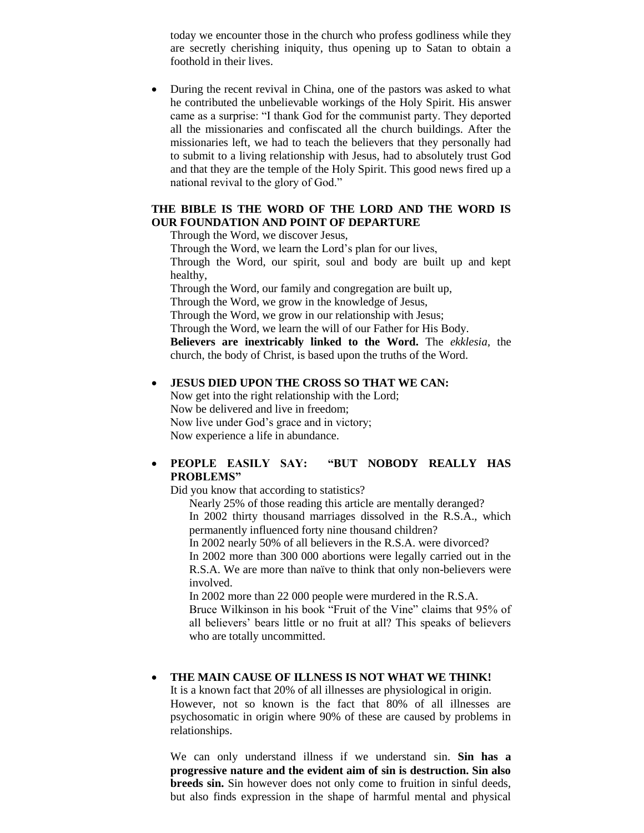today we encounter those in the church who profess godliness while they are secretly cherishing iniquity, thus opening up to Satan to obtain a foothold in their lives.

 During the recent revival in China, one of the pastors was asked to what he contributed the unbelievable workings of the Holy Spirit. His answer came as a surprise: "I thank God for the communist party. They deported all the missionaries and confiscated all the church buildings. After the missionaries left, we had to teach the believers that they personally had to submit to a living relationship with Jesus, had to absolutely trust God and that they are the temple of the Holy Spirit. This good news fired up a national revival to the glory of God."

## **THE BIBLE IS THE WORD OF THE LORD AND THE WORD IS OUR FOUNDATION AND POINT OF DEPARTURE**

Through the Word, we discover Jesus,

Through the Word, we learn the Lord's plan for our lives, Through the Word, our spirit, soul and body are built up and kept healthy, Through the Word, our family and congregation are built up,

Through the Word, we grow in the knowledge of Jesus,

Through the Word, we grow in our relationship with Jesus;

Through the Word, we learn the will of our Father for His Body.

**Believers are inextricably linked to the Word.** The *ekklesia,* the church, the body of Christ, is based upon the truths of the Word.

## **JESUS DIED UPON THE CROSS SO THAT WE CAN:**

Now get into the right relationship with the Lord; Now be delivered and live in freedom; Now live under God's grace and in victory; Now experience a life in abundance.

# **PEOPLE EASILY SAY: "BUT NOBODY REALLY HAS PROBLEMS"**

Did you know that according to statistics?

Nearly 25% of those reading this article are mentally deranged? In 2002 thirty thousand marriages dissolved in the R.S.A., which permanently influenced forty nine thousand children?

In 2002 nearly 50% of all believers in the R.S.A. were divorced? In 2002 more than 300 000 abortions were legally carried out in the R.S.A. We are more than naïve to think that only non-believers were involved.

In 2002 more than 22 000 people were murdered in the R.S.A. Bruce Wilkinson in his book "Fruit of the Vine" claims that 95% of all believers' bears little or no fruit at all? This speaks of believers who are totally uncommitted.

# **THE MAIN CAUSE OF ILLNESS IS NOT WHAT WE THINK!**

It is a known fact that 20% of all illnesses are physiological in origin. However, not so known is the fact that 80% of all illnesses are psychosomatic in origin where 90% of these are caused by problems in relationships.

We can only understand illness if we understand sin. **Sin has a progressive nature and the evident aim of sin is destruction. Sin also breeds sin.** Sin however does not only come to fruition in sinful deeds, but also finds expression in the shape of harmful mental and physical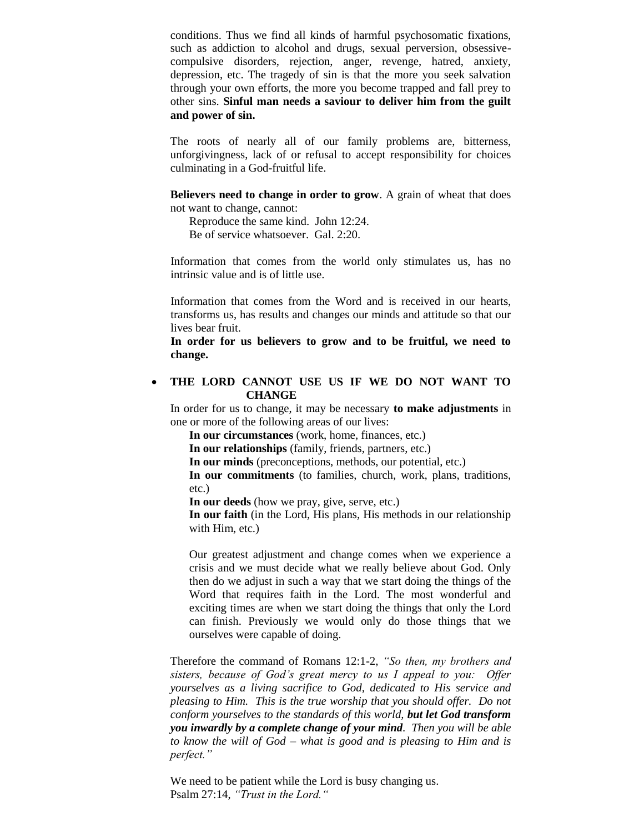conditions. Thus we find all kinds of harmful psychosomatic fixations, such as addiction to alcohol and drugs, sexual perversion, obsessivecompulsive disorders, rejection, anger, revenge, hatred, anxiety, depression, etc. The tragedy of sin is that the more you seek salvation through your own efforts, the more you become trapped and fall prey to other sins. **Sinful man needs a saviour to deliver him from the guilt and power of sin.**

The roots of nearly all of our family problems are, bitterness, unforgivingness, lack of or refusal to accept responsibility for choices culminating in a God-fruitful life.

**Believers need to change in order to grow**. A grain of wheat that does not want to change, cannot:

Reproduce the same kind. John 12:24.

Be of service whatsoever. Gal. 2:20.

Information that comes from the world only stimulates us, has no intrinsic value and is of little use.

Information that comes from the Word and is received in our hearts, transforms us, has results and changes our minds and attitude so that our lives bear fruit.

**In order for us believers to grow and to be fruitful, we need to change.**

## **THE LORD CANNOT USE US IF WE DO NOT WANT TO CHANGE**

In order for us to change, it may be necessary **to make adjustments** in one or more of the following areas of our lives:

**In our circumstances** (work, home, finances, etc.)

**In our relationships** (family, friends, partners, etc.)

**In our minds** (preconceptions, methods, our potential, etc.)

**In our commitments** (to families, church, work, plans, traditions, etc.)

**In our deeds** (how we pray, give, serve, etc.)

**In our faith** (in the Lord, His plans, His methods in our relationship with Him, etc.)

Our greatest adjustment and change comes when we experience a crisis and we must decide what we really believe about God. Only then do we adjust in such a way that we start doing the things of the Word that requires faith in the Lord. The most wonderful and exciting times are when we start doing the things that only the Lord can finish. Previously we would only do those things that we ourselves were capable of doing.

Therefore the command of Romans 12:1-2, *"So then, my brothers and sisters, because of God's great mercy to us I appeal to you: Offer yourselves as a living sacrifice to God, dedicated to His service and pleasing to Him. This is the true worship that you should offer. Do not conform yourselves to the standards of this world, but let God transform you inwardly by a complete change of your mind. Then you will be able to know the will of God – what is good and is pleasing to Him and is perfect."*

We need to be patient while the Lord is busy changing us. Psalm 27:14, *"Trust in the Lord."*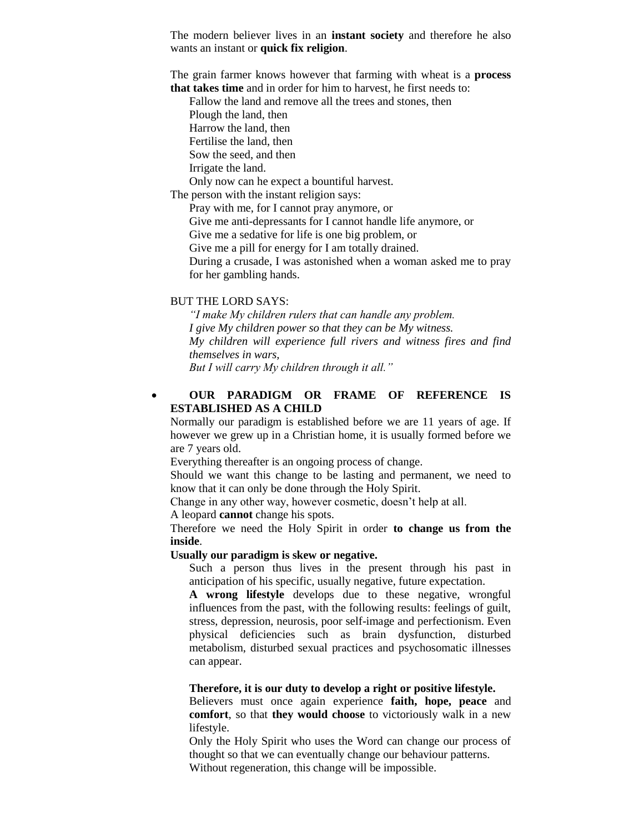The modern believer lives in an **instant society** and therefore he also wants an instant or **quick fix religion**.

The grain farmer knows however that farming with wheat is a **process that takes time** and in order for him to harvest, he first needs to:

Fallow the land and remove all the trees and stones, then Plough the land, then Harrow the land, then Fertilise the land, then Sow the seed, and then Irrigate the land. Only now can he expect a bountiful harvest. The person with the instant religion says: Pray with me, for I cannot pray anymore, or Give me anti-depressants for I cannot handle life anymore, or Give me a sedative for life is one big problem, or Give me a pill for energy for I am totally drained. During a crusade, I was astonished when a woman asked me to pray

## BUT THE LORD SAYS:

for her gambling hands.

*"I make My children rulers that can handle any problem. I give My children power so that they can be My witness. My children will experience full rivers and witness fires and find themselves in wars, But I will carry My children through it all."*

## **OUR PARADIGM OR FRAME OF REFERENCE IS ESTABLISHED AS A CHILD**

Normally our paradigm is established before we are 11 years of age. If however we grew up in a Christian home, it is usually formed before we are 7 years old.

Everything thereafter is an ongoing process of change.

Should we want this change to be lasting and permanent, we need to know that it can only be done through the Holy Spirit.

Change in any other way, however cosmetic, doesn't help at all.

A leopard **cannot** change his spots.

Therefore we need the Holy Spirit in order **to change us from the inside**.

#### **Usually our paradigm is skew or negative.**

Such a person thus lives in the present through his past in anticipation of his specific, usually negative, future expectation.

**A wrong lifestyle** develops due to these negative, wrongful influences from the past, with the following results: feelings of guilt, stress, depression, neurosis, poor self-image and perfectionism. Even physical deficiencies such as brain dysfunction, disturbed metabolism, disturbed sexual practices and psychosomatic illnesses can appear.

#### **Therefore, it is our duty to develop a right or positive lifestyle.**

Believers must once again experience **faith, hope, peace** and **comfort**, so that **they would choose** to victoriously walk in a new lifestyle.

Only the Holy Spirit who uses the Word can change our process of thought so that we can eventually change our behaviour patterns. Without regeneration, this change will be impossible.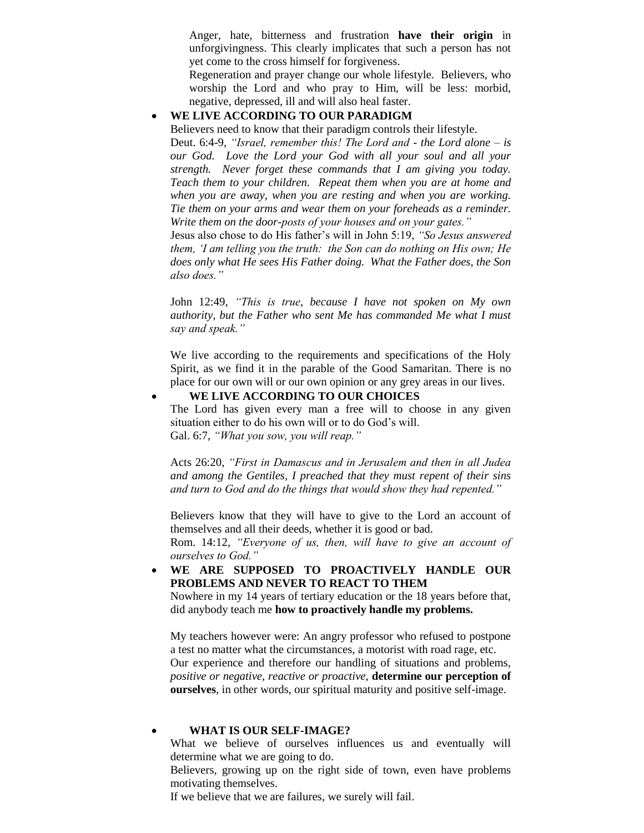Anger, hate, bitterness and frustration **have their origin** in unforgivingness. This clearly implicates that such a person has not yet come to the cross himself for forgiveness.

Regeneration and prayer change our whole lifestyle. Believers, who worship the Lord and who pray to Him, will be less: morbid, negative, depressed, ill and will also heal faster.

#### **WE LIVE ACCORDING TO OUR PARADIGM**

Believers need to know that their paradigm controls their lifestyle.

Deut. 6:4-9, *"Israel, remember this! The Lord and - the Lord alone – is our God. Love the Lord your God with all your soul and all your strength. Never forget these commands that I am giving you today. Teach them to your children. Repeat them when you are at home and when you are away, when you are resting and when you are working. Tie them on your arms and wear them on your foreheads as a reminder. Write them on the door-posts of your houses and on your gates."*

Jesus also chose to do His father's will in John 5:19, *"So Jesus answered them, 'I am telling you the truth: the Son can do nothing on His own; He does only what He sees His Father doing. What the Father does, the Son also does."*

John 12:49, *"This is true, because I have not spoken on My own authority, but the Father who sent Me has commanded Me what I must say and speak."*

We live according to the requirements and specifications of the Holy Spirit, as we find it in the parable of the Good Samaritan. There is no place for our own will or our own opinion or any grey areas in our lives.

#### **WE LIVE ACCORDING TO OUR CHOICES**

The Lord has given every man a free will to choose in any given situation either to do his own will or to do God's will. Gal. 6:7, *"What you sow, you will reap."*

Acts 26:20, *"First in Damascus and in Jerusalem and then in all Judea and among the Gentiles, I preached that they must repent of their sins and turn to God and do the things that would show they had repented."*

Believers know that they will have to give to the Lord an account of themselves and all their deeds, whether it is good or bad.

Rom. 14:12, *"Everyone of us, then, will have to give an account of ourselves to God."*

 **WE ARE SUPPOSED TO PROACTIVELY HANDLE OUR PROBLEMS AND NEVER TO REACT TO THEM** 

Nowhere in my 14 years of tertiary education or the 18 years before that, did anybody teach me **how to proactively handle my problems.** 

My teachers however were: An angry professor who refused to postpone a test no matter what the circumstances, a motorist with road rage, etc. Our experience and therefore our handling of situations and problems, *positive or negative, reactive or proactive,* **determine our perception of ourselves**, in other words, our spiritual maturity and positive self-image.

#### **WHAT IS OUR SELF-IMAGE?**

What we believe of ourselves influences us and eventually will determine what we are going to do.

Believers, growing up on the right side of town, even have problems motivating themselves.

If we believe that we are failures, we surely will fail.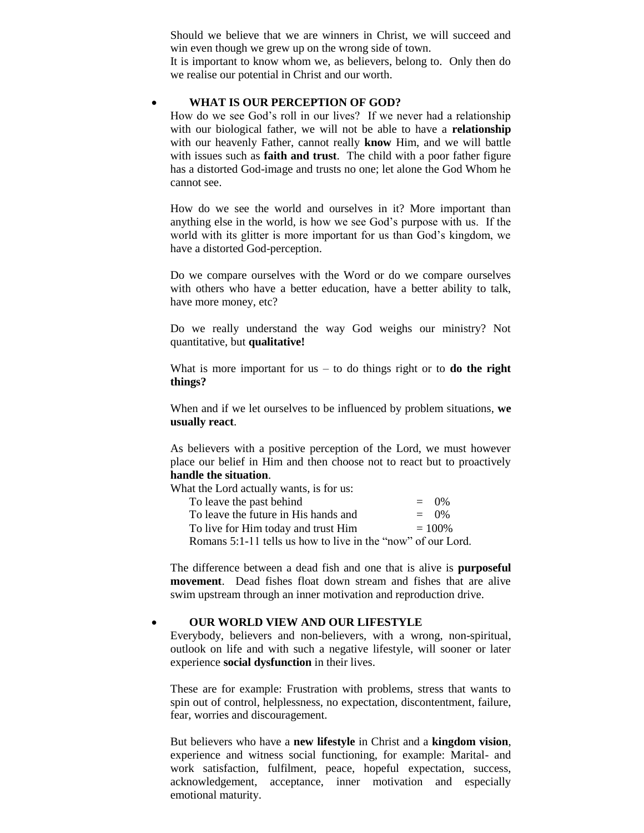Should we believe that we are winners in Christ, we will succeed and win even though we grew up on the wrong side of town.

It is important to know whom we, as believers, belong to. Only then do we realise our potential in Christ and our worth.

#### **WHAT IS OUR PERCEPTION OF GOD?**

How do we see God's roll in our lives? If we never had a relationship with our biological father, we will not be able to have a **relationship**  with our heavenly Father, cannot really **know** Him, and we will battle with issues such as **faith and trust**. The child with a poor father figure has a distorted God-image and trusts no one; let alone the God Whom he cannot see.

How do we see the world and ourselves in it? More important than anything else in the world, is how we see God's purpose with us. If the world with its glitter is more important for us than God's kingdom, we have a distorted God-perception.

Do we compare ourselves with the Word or do we compare ourselves with others who have a better education, have a better ability to talk, have more money, etc?

Do we really understand the way God weighs our ministry? Not quantitative, but **qualitative!**

What is more important for us  $-$  to do things right or to **do the right things?**

When and if we let ourselves to be influenced by problem situations, **we usually react**.

As believers with a positive perception of the Lord, we must however place our belief in Him and then choose not to react but to proactively **handle the situation**.

What the Lord actually wants, is for us:

| To leave the past behind                                     | $=$ 0\%   |
|--------------------------------------------------------------|-----------|
| To leave the future in His hands and                         | $=$ 0\%   |
| To live for Him today and trust Him                          | $= 100\%$ |
| Romans 5:1-11 tells us how to live in the "now" of our Lord. |           |

The difference between a dead fish and one that is alive is **purposeful movement**. Dead fishes float down stream and fishes that are alive swim upstream through an inner motivation and reproduction drive.

#### **OUR WORLD VIEW AND OUR LIFESTYLE**

Everybody, believers and non-believers, with a wrong, non-spiritual, outlook on life and with such a negative lifestyle, will sooner or later experience **social dysfunction** in their lives.

These are for example: Frustration with problems, stress that wants to spin out of control, helplessness, no expectation, discontentment, failure, fear, worries and discouragement.

But believers who have a **new lifestyle** in Christ and a **kingdom vision**, experience and witness social functioning, for example: Marital- and work satisfaction, fulfilment, peace, hopeful expectation, success, acknowledgement, acceptance, inner motivation and especially emotional maturity.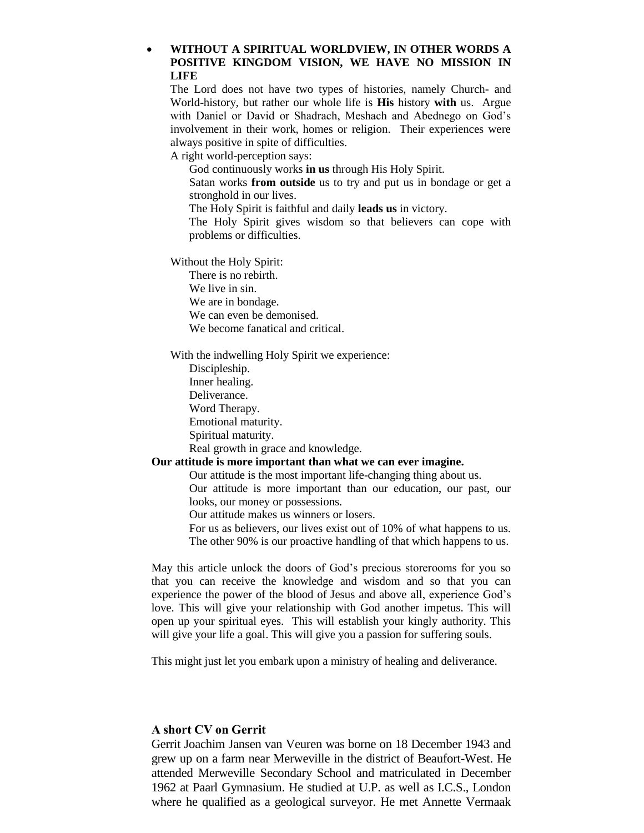## **WITHOUT A SPIRITUAL WORLDVIEW, IN OTHER WORDS A POSITIVE KINGDOM VISION, WE HAVE NO MISSION IN LIFE**

The Lord does not have two types of histories, namely Church- and World-history, but rather our whole life is **His** history **with** us. Argue with Daniel or David or Shadrach, Meshach and Abednego on God's involvement in their work, homes or religion. Their experiences were always positive in spite of difficulties.

A right world-perception says:

God continuously works **in us** through His Holy Spirit.

Satan works **from outside** us to try and put us in bondage or get a stronghold in our lives.

The Holy Spirit is faithful and daily **leads us** in victory.

The Holy Spirit gives wisdom so that believers can cope with problems or difficulties.

Without the Holy Spirit:

There is no rebirth. We live in sin. We are in bondage. We can even be demonised.

We become fanatical and critical.

With the indwelling Holy Spirit we experience:

Discipleship. Inner healing.

Deliverance.

Word Therapy.

Emotional maturity.

Spiritual maturity.

Real growth in grace and knowledge.

#### **Our attitude is more important than what we can ever imagine.**

Our attitude is the most important life-changing thing about us. Our attitude is more important than our education, our past, our

looks, our money or possessions.

Our attitude makes us winners or losers.

For us as believers, our lives exist out of 10% of what happens to us. The other 90% is our proactive handling of that which happens to us.

May this article unlock the doors of God's precious storerooms for you so that you can receive the knowledge and wisdom and so that you can experience the power of the blood of Jesus and above all, experience God's love. This will give your relationship with God another impetus. This will open up your spiritual eyes. This will establish your kingly authority. This will give your life a goal. This will give you a passion for suffering souls.

This might just let you embark upon a ministry of healing and deliverance.

## **A short CV on Gerrit**

Gerrit Joachim Jansen van Veuren was borne on 18 December 1943 and grew up on a farm near Merweville in the district of Beaufort-West. He attended Merweville Secondary School and matriculated in December 1962 at Paarl Gymnasium. He studied at U.P. as well as I.C.S., London where he qualified as a geological surveyor. He met Annette Vermaak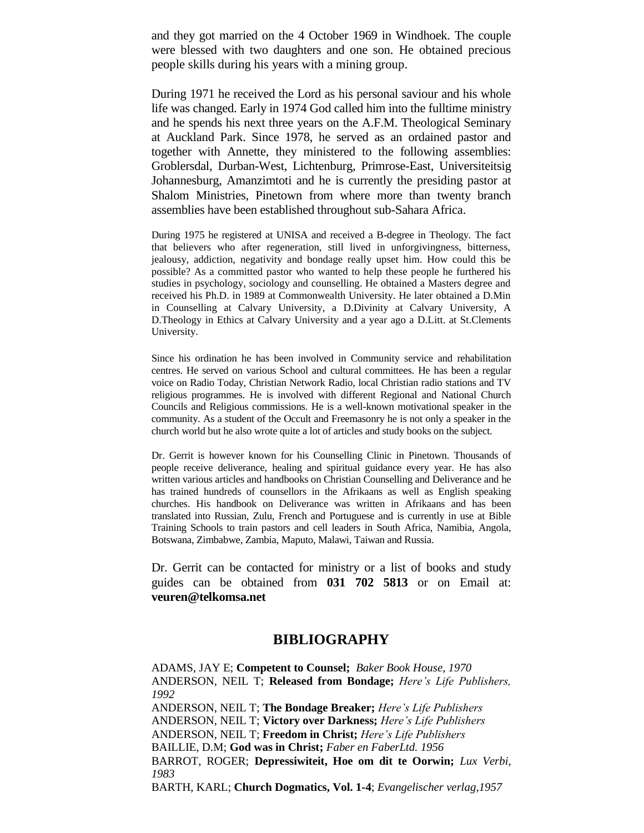and they got married on the 4 October 1969 in Windhoek. The couple were blessed with two daughters and one son. He obtained precious people skills during his years with a mining group.

During 1971 he received the Lord as his personal saviour and his whole life was changed. Early in 1974 God called him into the fulltime ministry and he spends his next three years on the A.F.M. Theological Seminary at Auckland Park. Since 1978, he served as an ordained pastor and together with Annette, they ministered to the following assemblies: Groblersdal, Durban-West, Lichtenburg, Primrose-East, Universiteitsig Johannesburg, Amanzimtoti and he is currently the presiding pastor at Shalom Ministries, Pinetown from where more than twenty branch assemblies have been established throughout sub-Sahara Africa.

During 1975 he registered at UNISA and received a B-degree in Theology. The fact that believers who after regeneration, still lived in unforgivingness, bitterness, jealousy, addiction, negativity and bondage really upset him. How could this be possible? As a committed pastor who wanted to help these people he furthered his studies in psychology, sociology and counselling. He obtained a Masters degree and received his Ph.D. in 1989 at Commonwealth University. He later obtained a D.Min in Counselling at Calvary University, a D.Divinity at Calvary University, A D.Theology in Ethics at Calvary University and a year ago a D.Litt. at St.Clements University.

Since his ordination he has been involved in Community service and rehabilitation centres. He served on various School and cultural committees. He has been a regular voice on Radio Today, Christian Network Radio, local Christian radio stations and TV religious programmes. He is involved with different Regional and National Church Councils and Religious commissions. He is a well-known motivational speaker in the community. As a student of the Occult and Freemasonry he is not only a speaker in the church world but he also wrote quite a lot of articles and study books on the subject.

Dr. Gerrit is however known for his Counselling Clinic in Pinetown. Thousands of people receive deliverance, healing and spiritual guidance every year. He has also written various articles and handbooks on Christian Counselling and Deliverance and he has trained hundreds of counsellors in the Afrikaans as well as English speaking churches. His handbook on Deliverance was written in Afrikaans and has been translated into Russian, Zulu, French and Portuguese and is currently in use at Bible Training Schools to train pastors and cell leaders in South Africa, Namibia, Angola, Botswana, Zimbabwe, Zambia, Maputo, Malawi, Taiwan and Russia.

Dr. Gerrit can be contacted for ministry or a list of books and study guides can be obtained from **031 702 5813** or on Email at: **veuren@telkomsa.net**

# **BIBLIOGRAPHY**

ADAMS, JAY E; **Competent to Counsel;** *Baker Book House, 1970* ANDERSON, NEIL T; **Released from Bondage;** *Here's Life Publishers, 1992*  ANDERSON, NEIL T; **The Bondage Breaker;** *Here's Life Publishers* ANDERSON, NEIL T; **Victory over Darkness;** *Here's Life Publishers* ANDERSON, NEIL T; **Freedom in Christ;** *Here's Life Publishers* BAILLIE, D.M; **God was in Christ;** *Faber en FaberLtd. 1956*  BARROT, ROGER; **Depressiwiteit, Hoe om dit te Oorwin;** *Lux Verbi, 1983*  BARTH, KARL; **Church Dogmatics, Vol. 1-4**; *Evangelischer verlag,1957*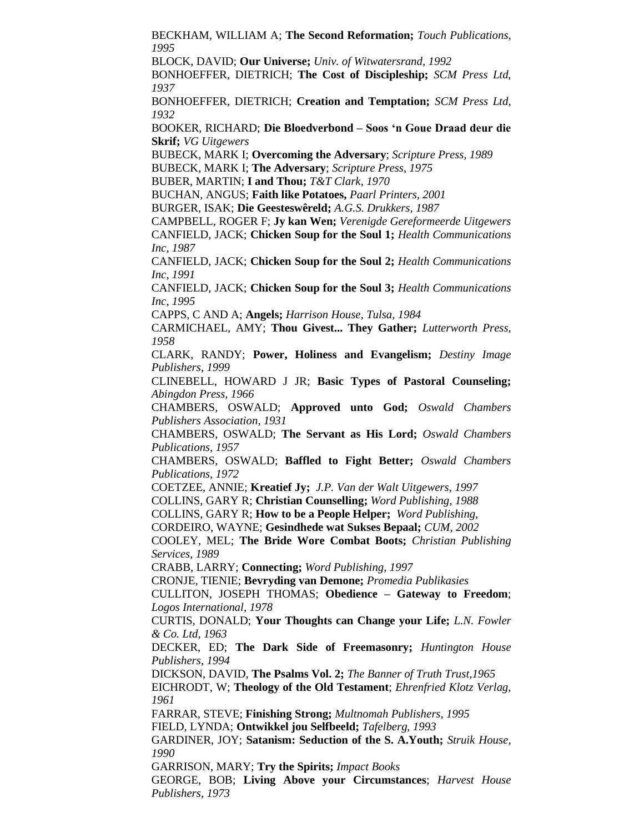BECKHAM, WILLIAM A; **The Second Reformation;** *Touch Publications, 1995*

BLOCK, DAVID; **Our Universe;** *Univ. of Witwatersrand, 1992*

BONHOEFFER, DIETRICH; **The Cost of Discipleship;** *SCM Press Ltd, 1937*

BONHOEFFER, DIETRICH; **Creation and Temptation;** *SCM Press Ltd, 1932*

BOOKER, RICHARD; **Die Bloedverbond – Soos 'n Goue Draad deur die Skrif;** *VG Uitgewers* 

BUBECK, MARK I; **Overcoming the Adversary**; *Scripture Press, 1989*

BUBECK, MARK I; **The Adversary**; *Scripture Press, 1975*

BUBER, MARTIN; **I and Thou;** *T&T Clark, 1970*

BUCHAN, ANGUS; **Faith like Potatoes,** *Paarl Printers, 2001*

BURGER, ISAK; **Die Geesteswêreld;** *A.G.S. Drukkers, 1987*

CAMPBELL, ROGER F; **Jy kan Wen;** *Verenigde Gereformeerde Uitgewers* CANFIELD, JACK; **Chicken Soup for the Soul 1;** *Health Communications Inc, 1987*

CANFIELD, JACK; **Chicken Soup for the Soul 2;** *Health Communications Inc, 1991*

CANFIELD, JACK; **Chicken Soup for the Soul 3;** *Health Communications Inc, 1995*

CAPPS, C AND A; **Angels;** *Harrison House, Tulsa, 1984*

CARMICHAEL, AMY; **Thou Givest... They Gather;** *Lutterworth Press, 1958*

CLARK, RANDY; **Power, Holiness and Evangelism;** *Destiny Image Publishers, 1999*

CLINEBELL, HOWARD J JR; **Basic Types of Pastoral Counseling;**  *Abingdon Press, 1966*

CHAMBERS, OSWALD; **Approved unto God;** *Oswald Chambers Publishers Association, 1931*

CHAMBERS, OSWALD; **The Servant as His Lord;** *Oswald Chambers Publications, 1957*

CHAMBERS, OSWALD; **Baffled to Fight Better;** *Oswald Chambers Publications, 1972*

COETZEE, ANNIE; **Kreatief Jy;** *J.P. Van der Walt Uitgewers, 1997* COLLINS, GARY R; **Christian Counselling;** *Word Publishing, 1988*

COLLINS, GARY R; **How to be a People Helper;** *Word Publishing,*

CORDEIRO, WAYNE; **Gesindhede wat Sukses Bepaal;** *CUM, 2002*

COOLEY, MEL; **The Bride Wore Combat Boots;** *Christian Publishing Services, 1989*

CRABB, LARRY; **Connecting;** *Word Publishing, 1997*

CRONJE, TIENIE; **Bevryding van Demone;** *Promedia Publikasies*

CULLITON, JOSEPH THOMAS; **Obedience – Gateway to Freedom**; *Logos International, 1978*

CURTIS, DONALD; **Your Thoughts can Change your Life;** *L.N. Fowler & Co. Ltd, 1963*

DECKER, ED; **The Dark Side of Freemasonry;** *Huntington House Publishers, 1994*

DICKSON, DAVID, **The Psalms Vol. 2;** *The Banner of Truth Trust,1965* EICHRODT, W; **Theology of the Old Testament**; *Ehrenfried Klotz Verlag, 1961*

FARRAR, STEVE; **Finishing Strong;** *Multnomah Publishers, 1995* FIELD, LYNDA; **Ontwikkel jou Selfbeeld;** *Tafelberg, 1993*

GARDINER, JOY; **Satanism: Seduction of the S. A.Youth;** *Struik House, 1990*

GARRISON, MARY; **Try the Spirits;** *Impact Books*

GEORGE, BOB; **Living Above your Circumstances**; *Harvest House Publishers, 1973*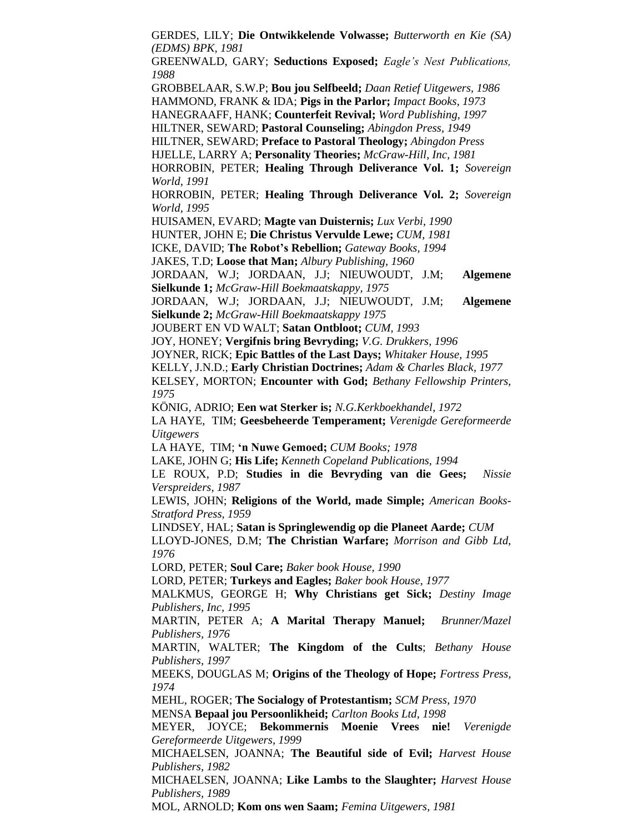GERDES, LILY; **Die Ontwikkelende Volwasse;** *Butterworth en Kie (SA) (EDMS) BPK, 1981*

GREENWALD, GARY; **Seductions Exposed;** *Eagle's Nest Publications, 1988*

GROBBELAAR, S.W.P; **Bou jou Selfbeeld;** *Daan Retief Uitgewers, 1986* HAMMOND, FRANK & IDA; **Pigs in the Parlor;** *Impact Books, 1973*

HANEGRAAFF, HANK; **Counterfeit Revival;** *Word Publishing, 1997*

HILTNER, SEWARD; **Pastoral Counseling;** *Abingdon Press, 1949*

HILTNER, SEWARD; **Preface to Pastoral Theology;** *Abingdon Press*

HJELLE, LARRY A; **Personality Theories;** *McGraw-Hill, Inc, 1981*

HORROBIN, PETER; **Healing Through Deliverance Vol. 1;** *Sovereign World, 1991*

HORROBIN, PETER; **Healing Through Deliverance Vol. 2;** *Sovereign World, 1995*

HUISAMEN, EVARD; **Magte van Duisternis;** *Lux Verbi, 1990*

HUNTER, JOHN E; **Die Christus Vervulde Lewe;** *CUM, 1981*

ICKE, DAVID; **The Robot's Rebellion;** *Gateway Books, 1994*

JAKES, T.D; **Loose that Man;** *Albury Publishing, 1960*

JORDAAN, W.J; JORDAAN, J.J; NIEUWOUDT, J.M; **Algemene Sielkunde 1;** *McGraw-Hill Boekmaatskappy, 1975*

JORDAAN, W.J; JORDAAN, J.J; NIEUWOUDT, J.M; **Algemene Sielkunde 2;** *McGraw-Hill Boekmaatskappy 1975*

JOUBERT EN VD WALT; **Satan Ontbloot;** *CUM, 1993*

JOY, HONEY; **Vergifnis bring Bevryding;** *V.G. Drukkers, 1996*

JOYNER, RICK; **Epic Battles of the Last Days;** *Whitaker House, 1995*

KELLY, J.N.D.; **Early Christian Doctrines;** *Adam & Charles Black, 1977*

KELSEY, MORTON; **Encounter with God;** *Bethany Fellowship Printers, 1975*

KÖNIG, ADRIO; **Een wat Sterker is;** *N.G.Kerkboekhandel, 1972*

LA HAYE, TIM; **Geesbeheerde Temperament;** *Verenigde Gereformeerde Uitgewers*

LA HAYE, TIM; **'n Nuwe Gemoed;** *CUM Books; 1978*

LAKE, JOHN G; **His Life;** *Kenneth Copeland Publications, 1994*

LE ROUX, P.D; **Studies in die Bevryding van die Gees;** *Nissie Verspreiders, 1987*

LEWIS, JOHN; **Religions of the World, made Simple;** *American Books-Stratford Press, 1959*

LINDSEY, HAL; **Satan is Springlewendig op die Planeet Aarde;** *CUM*

LLOYD-JONES, D.M; **The Christian Warfare;** *Morrison and Gibb Ltd, 1976*

LORD, PETER; **Soul Care;** *Baker book House, 1990*

LORD, PETER; **Turkeys and Eagles;** *Baker book House, 1977*

MALKMUS, GEORGE H; **Why Christians get Sick;** *Destiny Image Publishers, Inc, 1995*

MARTIN, PETER A; **A Marital Therapy Manuel;** *Brunner/Mazel Publishers, 1976*

MARTIN, WALTER; **The Kingdom of the Cults**; *Bethany House Publishers, 1997*

MEEKS, DOUGLAS M; **Origins of the Theology of Hope;** *Fortress Press, 1974*

MEHL, ROGER; **The Socialogy of Protestantism;** *SCM Press, 1970*

MENSA **Bepaal jou Persoonlikheid;** *Carlton Books Ltd, 1998*

MEYER, JOYCE; **Bekommernis Moenie Vrees nie!** *Verenigde Gereformeerde Uitgewers, 1999*

MICHAELSEN, JOANNA; **The Beautiful side of Evil;** *Harvest House Publishers, 1982*

MICHAELSEN, JOANNA; **Like Lambs to the Slaughter;** *Harvest House Publishers, 1989*

MOL, ARNOLD; **Kom ons wen Saam;** *Femina Uitgewers, 1981*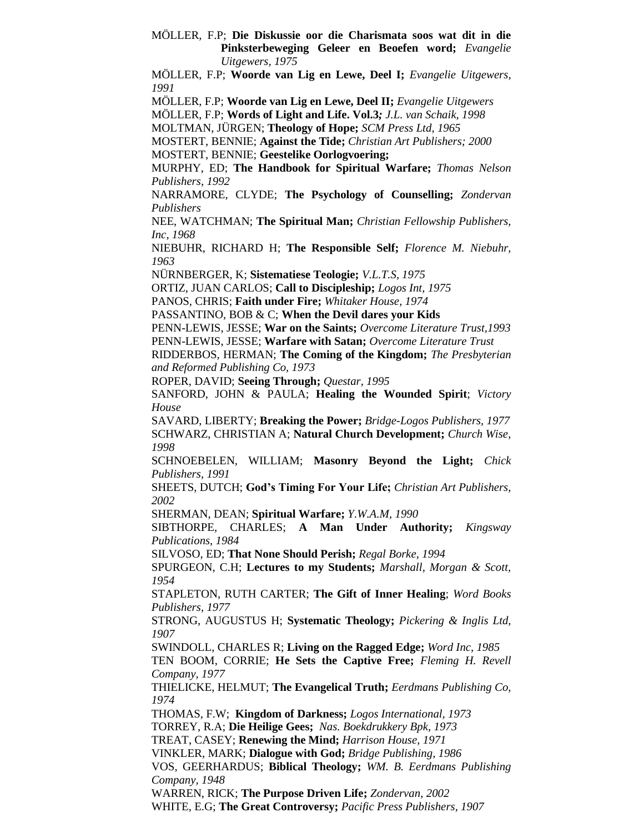MÖLLER, F.P; **Die Diskussie oor die Charismata soos wat dit in die Pinksterbeweging Geleer en Beoefen word;** *Evangelie Uitgewers, 1975*

MÖLLER, F.P; **Woorde van Lig en Lewe, Deel I;** *Evangelie Uitgewers, 1991*

MÖLLER, F.P; **Woorde van Lig en Lewe, Deel II;** *Evangelie Uitgewers*

MÖLLER, F.P; **Words of Light and Life. Vol.3***; J.L. van Schaik, 1998*

MOLTMAN, JÜRGEN; **Theology of Hope;** *SCM Press Ltd, 1965*

MOSTERT, BENNIE; **Against the Tide;** *Christian Art Publishers; 2000* MOSTERT, BENNIE; **Geestelike Oorlogvoering;**

MURPHY, ED; **The Handbook for Spiritual Warfare;** *Thomas Nelson Publishers, 1992*

NARRAMORE, CLYDE; **The Psychology of Counselling;** *Zondervan Publishers*

NEE, WATCHMAN; **The Spiritual Man;** *Christian Fellowship Publishers, Inc, 1968*

NIEBUHR, RICHARD H; **The Responsible Self;** *Florence M. Niebuhr, 1963*

NÜRNBERGER, K; **Sistematiese Teologie;** *V.L.T.S, 1975*

ORTIZ, JUAN CARLOS; **Call to Discipleship;** *Logos Int, 1975*

PANOS, CHRIS; **Faith under Fire;** *Whitaker House, 1974*

PASSANTINO, BOB & C; **When the Devil dares your Kids**

PENN-LEWIS, JESSE; **War on the Saints;** *Overcome Literature Trust,1993*

PENN-LEWIS, JESSE; **Warfare with Satan;** *Overcome Literature Trust*

RIDDERBOS, HERMAN; **The Coming of the Kingdom;** *The Presbyterian and Reformed Publishing Co, 1973*

ROPER, DAVID; **Seeing Through;** *Questar, 1995*

SANFORD, JOHN & PAULA; **Healing the Wounded Spirit**; *Victory House*

SAVARD, LIBERTY; **Breaking the Power;** *Bridge-Logos Publishers, 1977* SCHWARZ, CHRISTIAN A; **Natural Church Development;** *Church Wise, 1998*

SCHNOEBELEN, WILLIAM; **Masonry Beyond the Light;** *Chick Publishers, 1991*

SHEETS, DUTCH; **God's Timing For Your Life;** *Christian Art Publishers, 2002*

SHERMAN, DEAN; **Spiritual Warfare;** *Y.W.A.M, 1990*

SIBTHORPE, CHARLES; **A Man Under Authority;** *Kingsway Publications, 1984*

SILVOSO, ED; **That None Should Perish;** *Regal Borke, 1994*

SPURGEON, C.H; **Lectures to my Students;** *Marshall, Morgan & Scott, 1954*

STAPLETON, RUTH CARTER; **The Gift of Inner Healing**; *Word Books Publishers, 1977*

STRONG, AUGUSTUS H; **Systematic Theology;** *Pickering & Inglis Ltd, 1907*

SWINDOLL, CHARLES R; **Living on the Ragged Edge;** *Word Inc, 1985*

TEN BOOM, CORRIE; **He Sets the Captive Free;** *Fleming H. Revell Company, 1977*

THIELICKE, HELMUT; **The Evangelical Truth;** *Eerdmans Publishing Co, 1974*

THOMAS, F.W; **Kingdom of Darkness;** *Logos International, 1973* TORREY, R.A; **Die Heilige Gees;** *Nas. Boekdrukkery Bpk, 1973* TREAT, CASEY; **Renewing the Mind;** *Harrison House, 1971*

VINKLER, MARK; **Dialogue with God;** *Bridge Publishing, 1986*

VOS, GEERHARDUS; **Biblical Theology;** *WM. B. Eerdmans Publishing Company, 1948*

WARREN, RICK; **The Purpose Driven Life;** *Zondervan, 2002* WHITE, E.G; **The Great Controversy;** *Pacific Press Publishers, 1907*